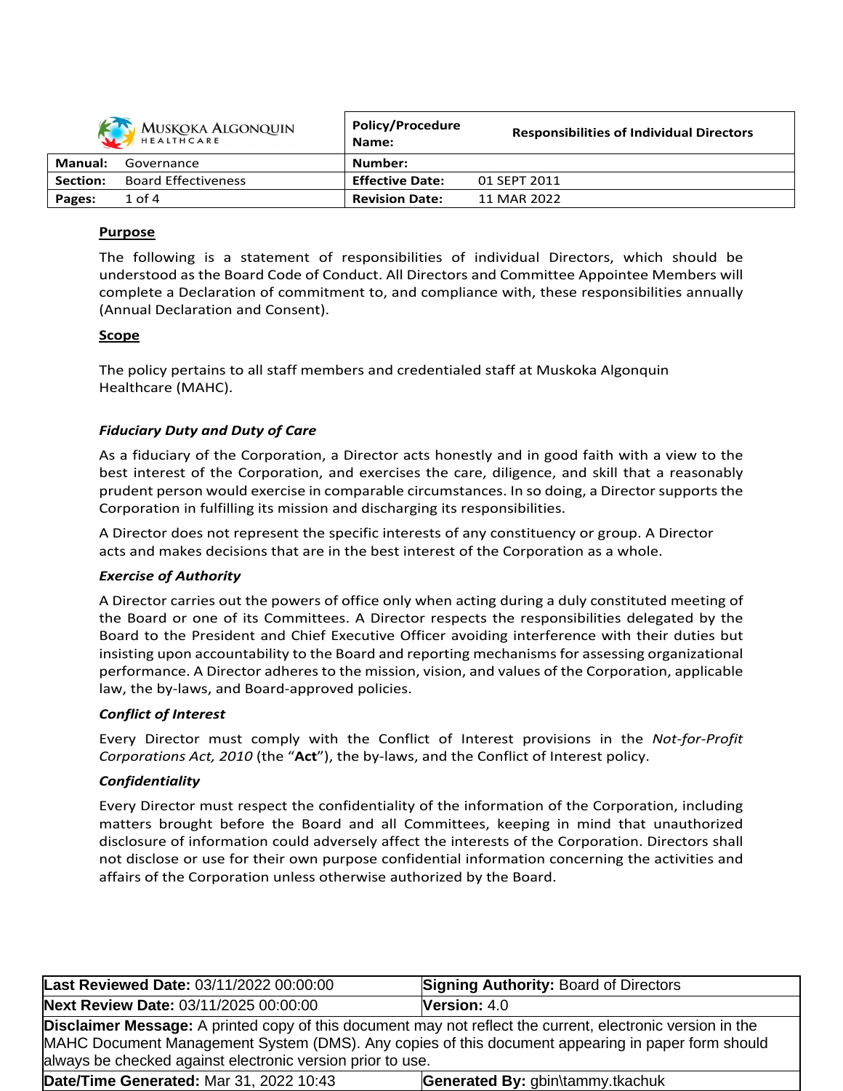| MUSKOKA ALGONQUIN |                            | <b>Policy/Procedure</b><br>Name: | <b>Responsibilities of Individual Directors</b> |
|-------------------|----------------------------|----------------------------------|-------------------------------------------------|
| <b>Manual:</b>    | Governance                 | Number:                          |                                                 |
| Section:          | <b>Board Effectiveness</b> | <b>Effective Date:</b>           | 01 SEPT 2011                                    |
| Pages:            | $1$ of $4$                 | <b>Revision Date:</b>            | 11 MAR 2022                                     |

# **Purpose**

The following is a statement of responsibilities of individual Directors, which should be understood as the Board Code of Conduct. All Directors and Committee Appointee Members will complete a Declaration of commitment to, and compliance with, these responsibilities annually (Annual Declaration and Consent).

## **Scope**

The policy pertains to all staff members and credentialed staff at Muskoka Algonquin Healthcare (MAHC).

# *Fiduciary Duty and Duty of Care*

As a fiduciary of the Corporation, a Director acts honestly and in good faith with a view to the best interest of the Corporation, and exercises the care, diligence, and skill that a reasonably prudent person would exercise in comparable circumstances. In so doing, a Director supports the Corporation in fulfilling its mission and discharging its responsibilities.

A Director does not represent the specific interests of any constituency or group. A Director acts and makes decisions that are in the best interest of the Corporation as a whole.

## *Exercise of Authority*

A Director carries out the powers of office only when acting during a duly constituted meeting of the Board or one of its Committees. A Director respects the responsibilities delegated by the Board to the President and Chief Executive Officer avoiding interference with their duties but insisting upon accountability to the Board and reporting mechanismsfor assessing organizational performance. A Director adheres to the mission, vision, and values of the Corporation, applicable law, the by-laws, and Board-approved policies.

## *Conflict of Interest*

Every Director must comply with the Conflict of Interest provisions in the *Not-for-Profit Corporations Act, 2010* (the "**Act**"), the by-laws, and the Conflict of Interest policy.

## *Confidentiality*

Every Director must respect the confidentiality of the information of the Corporation, including matters brought before the Board and all Committees, keeping in mind that unauthorized disclosure of information could adversely affect the interests of the Corporation. Directors shall not disclose or use for their own purpose confidential information concerning the activities and affairs of the Corporation unless otherwise authorized by the Board.

| Last Reviewed Date: 03/11/2022 00:00:00                                                                                                                                                                                                                                              | <b>Signing Authority: Board of Directors</b> |  |  |
|--------------------------------------------------------------------------------------------------------------------------------------------------------------------------------------------------------------------------------------------------------------------------------------|----------------------------------------------|--|--|
| Next Review Date: 03/11/2025 00:00:00                                                                                                                                                                                                                                                | Version: 4.0                                 |  |  |
| <b>Disclaimer Message:</b> A printed copy of this document may not reflect the current, electronic version in the<br>MAHC Document Management System (DMS). Any copies of this document appearing in paper form should<br>always be checked against electronic version prior to use. |                                              |  |  |
| Date/Time Generated: Mar 31, 2022 10:43                                                                                                                                                                                                                                              | Generated By: gbin\tammy.tkachuk             |  |  |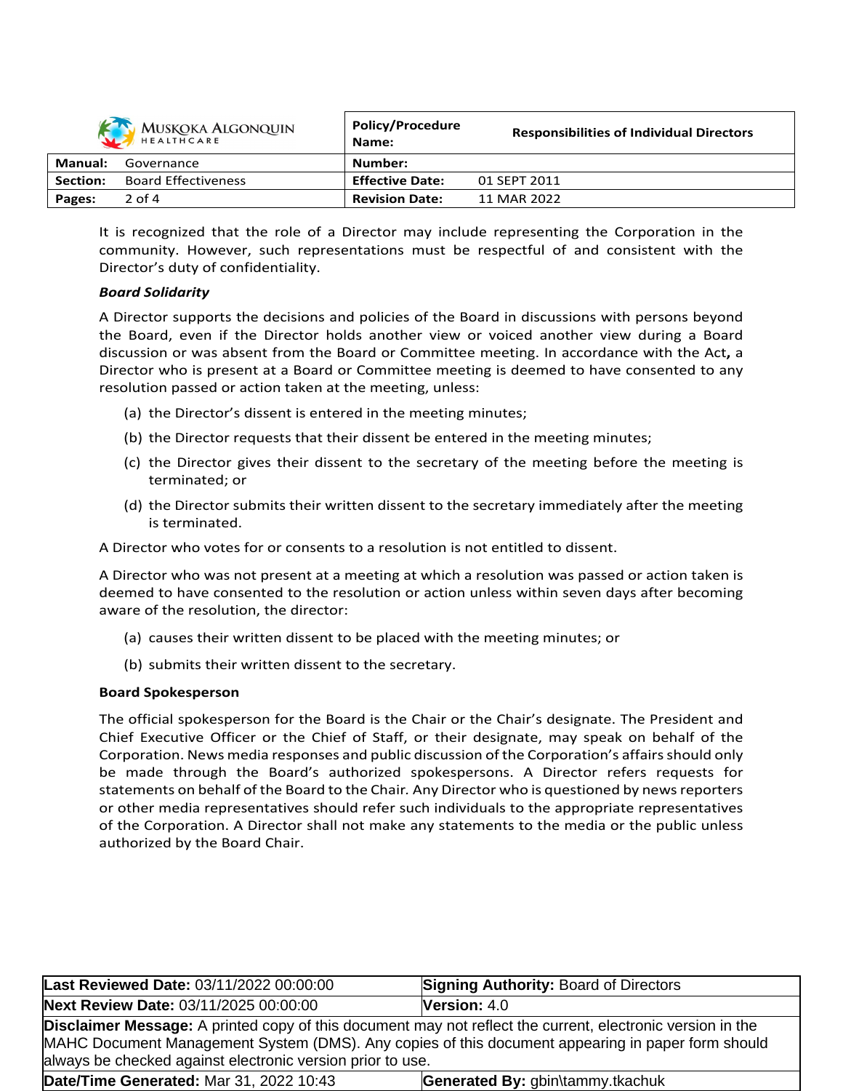| MUSKOKA ALGONQUIN |                            | <b>Policy/Procedure</b><br>Name: | <b>Responsibilities of Individual Directors</b> |
|-------------------|----------------------------|----------------------------------|-------------------------------------------------|
| Manual:           | Governance                 | Number:                          |                                                 |
| <b>Section:</b>   | <b>Board Effectiveness</b> | <b>Effective Date:</b>           | 01 SEPT 2011                                    |
| Pages:            | $2$ of 4                   | <b>Revision Date:</b>            | 11 MAR 2022                                     |

It is recognized that the role of a Director may include representing the Corporation in the community. However, such representations must be respectful of and consistent with the Director's duty of confidentiality.

## *Board Solidarity*

A Director supports the decisions and policies of the Board in discussions with persons beyond the Board, even if the Director holds another view or voiced another view during a Board discussion or was absent from the Board or Committee meeting. In accordance with the Act**,** a Director who is present at a Board or Committee meeting is deemed to have consented to any resolution passed or action taken at the meeting, unless:

- (a) the Director's dissent is entered in the meeting minutes;
- (b) the Director requests that their dissent be entered in the meeting minutes;
- (c) the Director gives their dissent to the secretary of the meeting before the meeting is terminated; or
- (d) the Director submits their written dissent to the secretary immediately after the meeting is terminated.

A Director who votes for or consents to a resolution is not entitled to dissent.

A Director who was not present at a meeting at which a resolution was passed or action taken is deemed to have consented to the resolution or action unless within seven days after becoming aware of the resolution, the director:

- (a) causes their written dissent to be placed with the meeting minutes; or
- (b) submits their written dissent to the secretary.

## **Board Spokesperson**

The official spokesperson for the Board is the Chair or the Chair's designate. The President and Chief Executive Officer or the Chief of Staff, or their designate, may speak on behalf of the Corporation. News media responses and public discussion of the Corporation's affairs should only be made through the Board's authorized spokespersons. A Director refers requests for statements on behalf of the Board to the Chair*.* Any Director who is questioned by newsreporters or other media representatives should refer such individuals to the appropriate representatives of the Corporation. A Director shall not make any statements to the media or the public unless authorized by the Board Chair.

| Last Reviewed Date: 03/11/2022 00:00:00                                                                                                                                                                                                                                              | <b>Signing Authority: Board of Directors</b> |  |  |  |
|--------------------------------------------------------------------------------------------------------------------------------------------------------------------------------------------------------------------------------------------------------------------------------------|----------------------------------------------|--|--|--|
| Next Review Date: 03/11/2025 00:00:00                                                                                                                                                                                                                                                | <b>Version: <math>4.0</math></b>             |  |  |  |
| <b>Disclaimer Message:</b> A printed copy of this document may not reflect the current, electronic version in the<br>MAHC Document Management System (DMS). Any copies of this document appearing in paper form should<br>always be checked against electronic version prior to use. |                                              |  |  |  |
| Date/Time Generated: Mar 31, 2022 10:43                                                                                                                                                                                                                                              | Generated By: gbin\tammy.tkachuk             |  |  |  |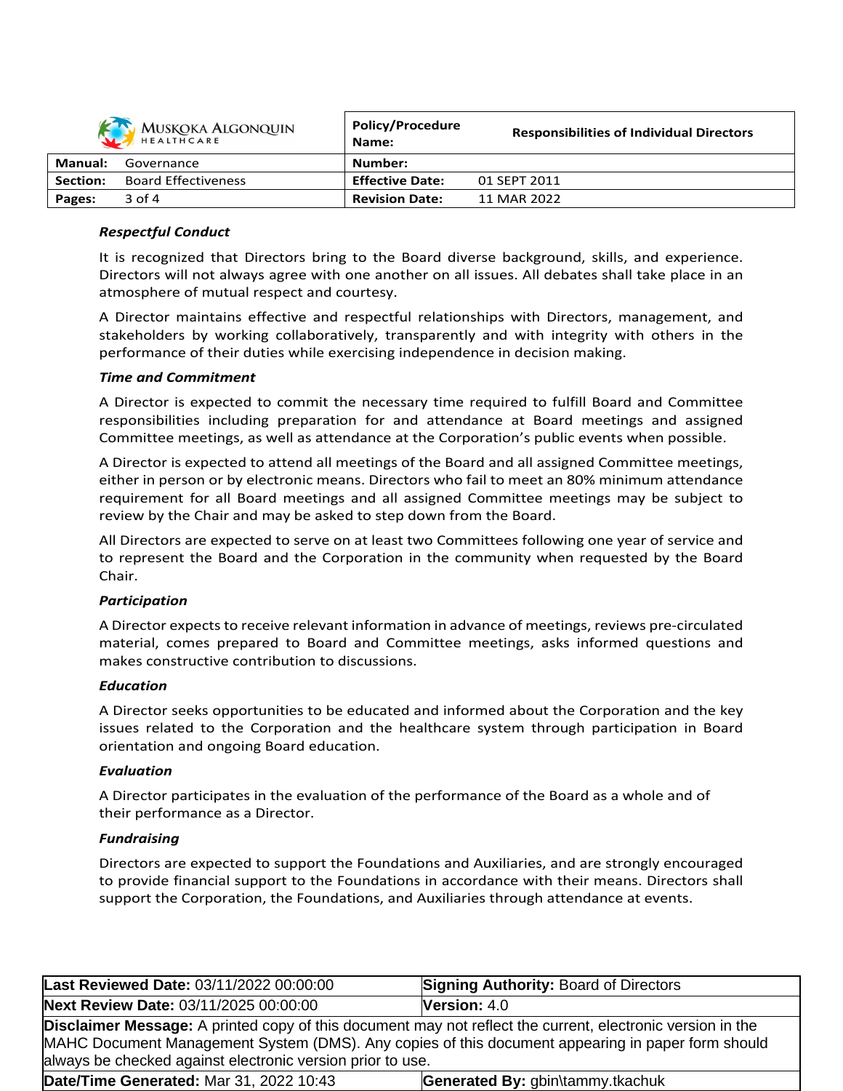| MUSKOKA ALGONQUIN |                            | Policy/Procedure<br>Name: | <b>Responsibilities of Individual Directors</b> |
|-------------------|----------------------------|---------------------------|-------------------------------------------------|
| Manual:           | Governance                 | Number:                   |                                                 |
| Section:          | <b>Board Effectiveness</b> | <b>Effective Date:</b>    | 01 SEPT 2011                                    |
| Pages:            | $3$ of 4                   | <b>Revision Date:</b>     | 11 MAR 2022                                     |

## *Respectful Conduct*

It is recognized that Directors bring to the Board diverse background, skills, and experience. Directors will not always agree with one another on all issues. All debates shall take place in an atmosphere of mutual respect and courtesy.

A Director maintains effective and respectful relationships with Directors, management, and stakeholders by working collaboratively, transparently and with integrity with others in the performance of their duties while exercising independence in decision making.

## *Time and Commitment*

A Director is expected to commit the necessary time required to fulfill Board and Committee responsibilities including preparation for and attendance at Board meetings and assigned Committee meetings, as well as attendance at the Corporation's public events when possible.

A Director is expected to attend all meetings of the Board and all assigned Committee meetings, either in person or by electronic means. Directors who fail to meet an 80% minimum attendance requirement for all Board meetings and all assigned Committee meetings may be subject to review by the Chair and may be asked to step down from the Board.

All Directors are expected to serve on at least two Committees following one year of service and to represent the Board and the Corporation in the community when requested by the Board Chair.

## *Participation*

A Director expects to receive relevant information in advance of meetings, reviews pre-circulated material, comes prepared to Board and Committee meetings, asks informed questions and makes constructive contribution to discussions.

## *Education*

A Director seeks opportunities to be educated and informed about the Corporation and the key issues related to the Corporation and the healthcare system through participation in Board orientation and ongoing Board education.

## *Evaluation*

A Director participates in the evaluation of the performance of the Board as a whole and of their performance as a Director.

## *Fundraising*

Directors are expected to support the Foundations and Auxiliaries, and are strongly encouraged to provide financial support to the Foundations in accordance with their means. Directors shall support the Corporation, the Foundations, and Auxiliaries through attendance at events.

| Last Reviewed Date: 03/11/2022 00:00:00                                                                                                                                                                                                                                              | <b>Signing Authority: Board of Directors</b> |  |  |
|--------------------------------------------------------------------------------------------------------------------------------------------------------------------------------------------------------------------------------------------------------------------------------------|----------------------------------------------|--|--|
| Next Review Date: 03/11/2025 00:00:00                                                                                                                                                                                                                                                | <b>Version:</b> $4.0$                        |  |  |
| <b>Disclaimer Message:</b> A printed copy of this document may not reflect the current, electronic version in the<br>MAHC Document Management System (DMS). Any copies of this document appearing in paper form should<br>always be checked against electronic version prior to use. |                                              |  |  |
| Date/Time Generated: Mar 31, 2022 10:43                                                                                                                                                                                                                                              | Generated By: gbin\tammy.tkachuk             |  |  |